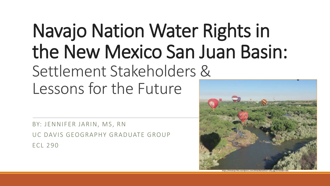# Navajo Nation Water Rights in the New Mexico San Juan Basin: Settlement Stakeholders & Lessons for the Future

BY: JENNIFER JARIN, MS, RN UC DAVIS GEOGRAPHY GRADUATE GROUP ECL 290



https://lintvkrqe.files.wordpress.com/2016/06/balloon-rally.jpg?w=650&h=366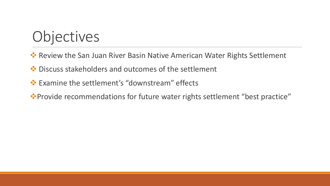# **Objectives**

- ◆ Review the San Juan River Basin Native American Water Rights Settlement
- $\cdot$  **Discuss stakeholders and outcomes of the settlement**
- Examine the settlement's "downstream" effects
- Provide recommendations for future water rights settlement "best practice"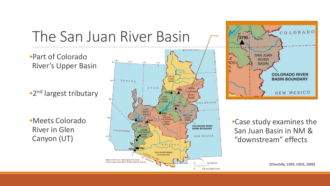

**100 KILOMETERS** 

(Chischilly, 1993; USGS, 2000)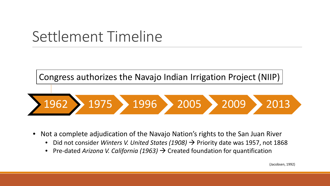Congress authorizes the Navajo Indian Irrigation Project (NIIP)



- Not a complete adjudication of the Navajo Nation's rights to the San Juan River
	- Did not consider *Winters V. United States (1908)*  $\rightarrow$  Priority date was 1957, not 1868
	- Pre-dated *Arizona V. California (1963)*  $\rightarrow$  Created foundation for quantification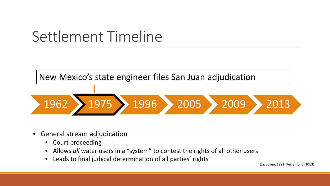



- General stream adjudication
	- Court proceeding
	- Allows *all* water users in a "system" to contest the rights of all other users
	- Leads to final judicial determination of all parties' rights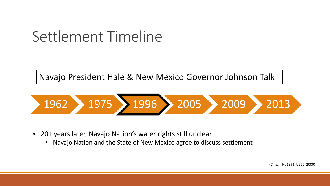Navajo President Hale & New Mexico Governor Johnson Talk



- 20+ years later, Navajo Nation's water rights still unclear
	- Navajo Nation and the State of New Mexico agree to discuss settlement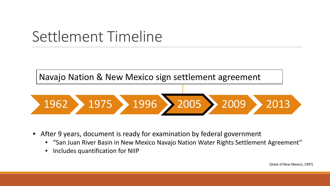

- After 9 years, document is ready for examination by federal government
	- "San Juan River Basin in New Mexico Navajo Nation Water Rights Settlement Agreement"
	- Includes quantification for NIIP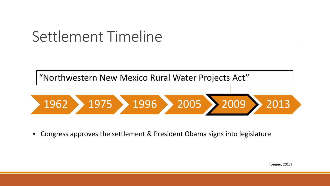



• Congress approves the settlement & President Obama signs into legislature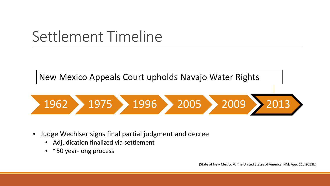New Mexico Appeals Court upholds Navajo Water Rights



- Judge Wechlser signs final partial judgment and decree
	- Adjudication finalized via settlement
	- ~50 year-long process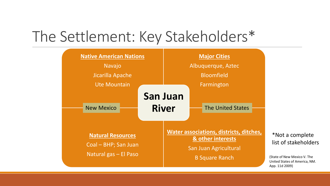## The Settlement: Key Stakeholders\*

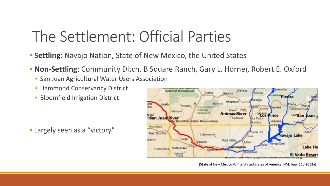# The Settlement: Official Parties

- **Settling**: Navajo Nation, State of New Mexico, the United States
- **Non-Settling**: Community Ditch, B Square Ranch, Gary L. Horner, Robert E. Oxford
	- San Juan Agricultural Water Users Association
	- Hammond Conservancy District
	- Bloomfield Irrigation District

• Largely seen as a "victory"



(State of New Mexico V. The United States of America, NM. App. 11d 2013a)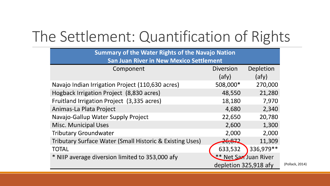# The Settlement: Quantification of Rights

| <b>Summary of the Water Rights of the Navajo Nation</b><br><b>San Juan River in New Mexico Settlement</b> |                                                |           |  |
|-----------------------------------------------------------------------------------------------------------|------------------------------------------------|-----------|--|
| Component                                                                                                 | <b>Diversion</b>                               | Depletion |  |
|                                                                                                           | (afy)                                          | (afy)     |  |
| Navajo Indian Irrigation Project (110,630 acres)                                                          | 508,000*                                       | 270,000   |  |
| Hogback Irrigation Project (8,830 acres)                                                                  | 48,550                                         | 21,280    |  |
| Fruitland Irrigation Project (3,335 acres)                                                                | 18,180                                         | 7,970     |  |
| Animas-La Plata Project                                                                                   | 4,680                                          | 2,340     |  |
| Navajo-Gallup Water Supply Project                                                                        | 22,650                                         | 20,780    |  |
| <b>Misc. Municipal Uses</b>                                                                               | 2,600                                          | 1,300     |  |
| <b>Tributary Groundwater</b>                                                                              | 2,000                                          | 2,000     |  |
| Tributary Surface Water (Small Historic & Existing Uses)                                                  | 26,872                                         | 11,309    |  |
| <b>TOTAL</b>                                                                                              | 633,532                                        | 336,979** |  |
| * NIIP average diversion limited to 353,000 afy                                                           | ** Net San Juan River<br>depletion 325,918 afy |           |  |
|                                                                                                           |                                                |           |  |

lack, 2014)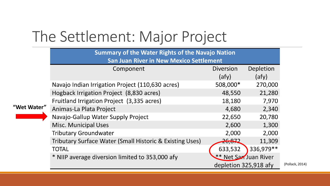# The Settlement: Major Project

|             | <b>Summary of the Water Rights of the Navajo Nation</b><br><b>San Juan River in New Mexico Settlement</b> |                       |            |  |
|-------------|-----------------------------------------------------------------------------------------------------------|-----------------------|------------|--|
|             | Component                                                                                                 | <b>Diversion</b>      | Depletion  |  |
|             |                                                                                                           | (afy)                 | (afy)      |  |
|             | Navajo Indian Irrigation Project (110,630 acres)                                                          | 508,000*              | 270,000    |  |
|             | Hogback Irrigation Project (8,830 acres)                                                                  | 48,550                | 21,280     |  |
|             | Fruitland Irrigation Project (3,335 acres)                                                                | 18,180                | 7,970      |  |
| "Wet Water" | Animas-La Plata Project                                                                                   | 4,680                 | 2,340      |  |
|             | Navajo-Gallup Water Supply Project                                                                        | 22,650                | 20,780     |  |
|             | <b>Misc. Municipal Uses</b>                                                                               | 2,600                 | 1,300      |  |
|             | <b>Tributary Groundwater</b>                                                                              | 2,000                 | 2,000      |  |
|             | Tributary Surface Water (Small Historic & Existing Uses)                                                  | 26,872                | 11,309     |  |
|             | <b>TOTAL</b>                                                                                              | 633,532               | 336,979 ** |  |
|             | * NIIP average diversion limited to 353,000 afy                                                           | ** Net San Juan River |            |  |
|             |                                                                                                           | depletion 325,918 afy |            |  |

 $k, 2014)$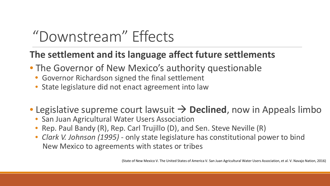# "Downstream" Effects

#### **The settlement and its language affect future settlements**

- The Governor of New Mexico's authority questionable
	- Governor Richardson signed the final settlement
	- State legislature did not enact agreement into law

### • Legislative supreme court lawsuit  $\rightarrow$  Declined, now in Appeals limbo

- San Juan Agricultural Water Users Association
- Rep. Paul Bandy (R), Rep. Carl Trujillo (D), and Sen. Steve Neville (R)
- *Clark V. Johnson (1995)* only state legislature has constitutional power to bind New Mexico to agreements with states or tribes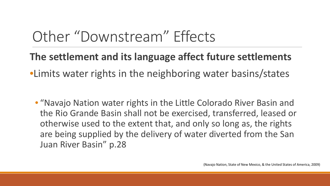# Other "Downstream" Effects

- **The settlement and its language affect future settlements**
- •Limits water rights in the neighboring water basins/states
	- "Navajo Nation water rights in the Little Colorado River Basin and the Rio Grande Basin shall not be exercised, transferred, leased or otherwise used to the extent that, and only so long as, the rights are being supplied by the delivery of water diverted from the San Juan River Basin" p.28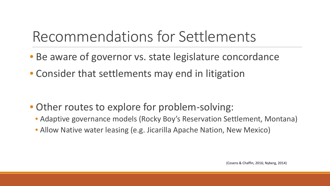# Recommendations for Settlements

- Be aware of governor vs. state legislature concordance
- Consider that settlements may end in litigation

- Other routes to explore for problem-solving:
	- Adaptive governance models (Rocky Boy's Reservation Settlement, Montana)
	- Allow Native water leasing (e.g. Jicarilla Apache Nation, New Mexico)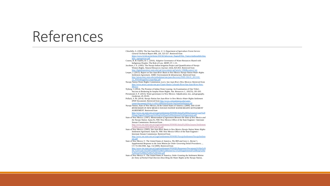## References

Chischilly, S. (1993). The San Juan River. *U. S. Department of Agriculture Forest Service General Technical Report RM, 226*, 323-327. Retrieved from https://www.fs.fed.us/rm/boise/AWAE/labs/awae\_flagstaff/Hot\_Topics/ripthreatbib/chisc hilly\_sanjuanriver.pdf Cosens, B. & Chaffin, B. C. (2016). Adaptive Governance of Water Resources Shared with Indigenous Peoples: The Role of Law. *MDPI, 97*, 1-15. Jacobsen, J. E. (1992). The Navajo Indian Irrigation Project and Quantification of Navajo Winters Rights. *Natural Resources Journal, 32*(4), 825-853. Retrieved from http://digitalrepository.unm.edu/cgi/viewcontent.cgi?article=1960&context=nrj Leeper, J. (2013). *Report on San Juan River Basin in New Mexico Navajo Nation Water Rights Settlement Agreement.* AMEC Environment & Infrastructure. Retrieved from http://uttoncenter.unm.edu/ombudsman/san-juan-discovery/NSD-336.01\_2013-02- 12\_NN3rdSuppDiscLeeperRpt.pdf Navajo Nation Water Rights Commission. (n.d.). *San Juan River (New Mexico)*. Retrieved from http://www.nnwrc.navajo-nsn.gov/Upper-Basin-Colorado-River/San-Juan-River-New-Mexico Nyberg, J. (2014). The Promise of Indian Water Leasing: An Examination of One Tribe's Success at Brokering Its Surplus Water Rights. *Nat. Resources J., 181*(55), 181-203. Perramond, E. P. (2013). Water governance in New Mexico: Adjudication, law, and geography. *Geoforum, 45*, 83-93. Pollack, S. M. (2014). *Navajo Nation San Juan River in New Mexico Water Rights Settlement* [PDF Document]. Retrieved from http://www.coloradomesa.edu/watercenter/documents/2014-11-05UCRBWaterForum-SanJuanSettlement.pdf Navajo Nation, State of New Mexico, & the United States of America. (2009). *SAN JUAN RIVER BASIN IN NEW MEXICO NAVAJO NATION WATER RIGHTS SETTLEMENT AGREEMENT*. Retrieved from http://www.ose.state.nm.us/Legal/settlements/NNWRS/Initial%20Disclosures/Court%20 Filings/Signed%20Navajo%20San%20Juan%20Settlement%20Agreement.pdf State of New Mexico. (1997). *Memorandum of Agreement Between the State of New Mexico and the Navajo Nation*. Santa Fe, NM: New Mexico Office of the State Engineer / Interstate Stream Commission. Retrieved from http://www.ose.state.nm.us/Legal/settlements/NNWRS/Initial%20Disclosures/Settlement %20Documents/DOC000%20(16).pdf State of New Mexico. (2005). *San Juan River Basin in New Mexico Navajo Nation Water Rights Settlement Agreement*. Santa Fe, NM: New Mexico Office of the State Engineer / Interstate Stream Commission. Retrieved from http://www.ose.state.nm.us/Legal/settlements/NNWRS/NavajoSettlement/NavajoSettlem ent.pdf State of New Mexico V. The United States of America, *The BID and Gary L. Horner's Supplemental Response to the Joint Motion for Order Governing Initial Procedures…*, CV-74-184 (NM. App. 11d 2009). Retrieved from http://www.ose.state.nm.us/Legal/settlements/NNWRS/Responses/Documents%20in%20 ISC%20Vault/102209%20BID%20&%20Horner%27s%20Supplemental%20Resp%20to %20Joint%20Mtn%20for%20Order.pdf State of New Mexico V. The United States of America, *Order Granting the Settlement Motion for Entry of Partial Final Decrees Describing the Water Rights of the Navajo Nation*,